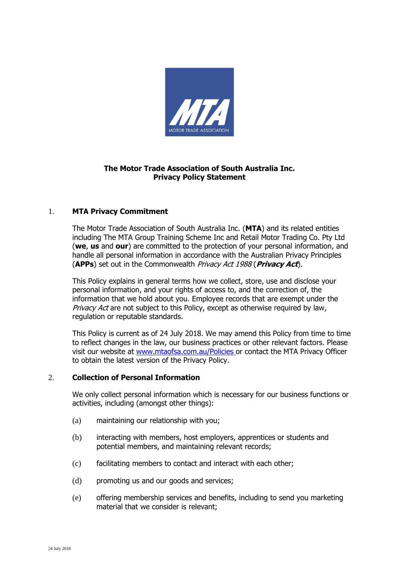

# **The Motor Trade Association of South Australia Inc. Privacy Policy Statement**

## 1. **MTA Privacy Commitment**

The Motor Trade Association of South Australia Inc. (**MTA**) and its related entities including The MTA Group Training Scheme Inc and Retail Motor Trading Co. Pty Ltd (**we**, **us** and **our**) are committed to the protection of your personal information, and handle all personal information in accordance with the Australian Privacy Principles (**APPs**) set out in the Commonwealth Privacy Act 1988 (**Privacy Act**).

This Policy explains in general terms how we collect, store, use and disclose your personal information, and your rights of access to, and the correction of, the information that we hold about you. Employee records that are exempt under the Privacy Act are not subject to this Policy, except as otherwise required by law, regulation or reputable standards.

This Policy is current as of 24 July 2018. We may amend this Policy from time to time to reflect changes in the law, our business practices or other relevant factors. Please visit our website at [www.mtaofsa.com.au/Policies](http://www.mtaofsa.com.au/Policies) or contact the MTA Privacy Officer to obtain the latest version of the Privacy Policy.

## <span id="page-0-0"></span>2. **Collection of Personal Information**

We only collect personal information which is necessary for our business functions or activities, including (amongst other things):

- (a) maintaining our relationship with you;
- (b) interacting with members, host employers, apprentices or students and potential members, and maintaining relevant records;
- (c) facilitating members to contact and interact with each other;
- (d) promoting us and our goods and services;
- (e) offering membership services and benefits, including to send you marketing material that we consider is relevant;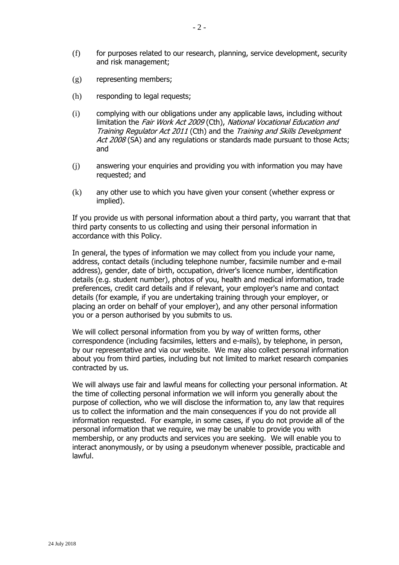- (f) for purposes related to our research, planning, service development, security and risk management;
- (g) representing members;
- (h) responding to legal requests;
- (i) complying with our obligations under any applicable laws, including without limitation the *Fair Work Act 2009* (Cth), National Vocational Education and Training Regulator Act 2011 (Cth) and the Training and Skills Development Act 2008 (SA) and any regulations or standards made pursuant to those Acts; and
- (j) answering your enquiries and providing you with information you may have requested; and
- (k) any other use to which you have given your consent (whether express or implied).

If you provide us with personal information about a third party, you warrant that that third party consents to us collecting and using their personal information in accordance with this Policy.

In general, the types of information we may collect from you include your name, address, contact details (including telephone number, facsimile number and e-mail address), gender, date of birth, occupation, driver's licence number, identification details (e.g. student number), photos of you, health and medical information, trade preferences, credit card details and if relevant, your employer's name and contact details (for example, if you are undertaking training through your employer, or placing an order on behalf of your employer), and any other personal information you or a person authorised by you submits to us.

We will collect personal information from you by way of written forms, other correspondence (including facsimiles, letters and e-mails), by telephone, in person, by our representative and via our website. We may also collect personal information about you from third parties, including but not limited to market research companies contracted by us.

We will always use fair and lawful means for collecting your personal information. At the time of collecting personal information we will inform you generally about the purpose of collection, who we will disclose the information to, any law that requires us to collect the information and the main consequences if you do not provide all information requested. For example, in some cases, if you do not provide all of the personal information that we require, we may be unable to provide you with membership, or any products and services you are seeking. We will enable you to interact anonymously, or by using a pseudonym whenever possible, practicable and lawful.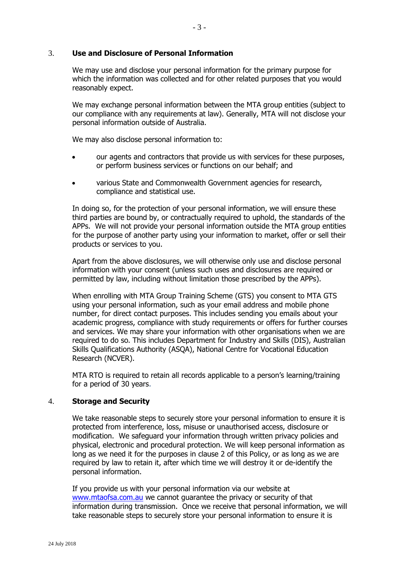## 3. **Use and Disclosure of Personal Information**

We may use and disclose your personal information for the primary purpose for which the information was collected and for other related purposes that you would reasonably expect.

We may exchange personal information between the MTA group entities (subject to our compliance with any requirements at law). Generally, MTA will not disclose your personal information outside of Australia.

We may also disclose personal information to:

- our agents and contractors that provide us with services for these purposes, or perform business services or functions on our behalf; and
- various State and Commonwealth Government agencies for research, compliance and statistical use.

In doing so, for the protection of your personal information, we will ensure these third parties are bound by, or contractually required to uphold, the standards of the APPs. We will not provide your personal information outside the MTA group entities for the purpose of another party using your information to market, offer or sell their products or services to you.

Apart from the above disclosures, we will otherwise only use and disclose personal information with your consent (unless such uses and disclosures are required or permitted by law, including without limitation those prescribed by the APPs).

When enrolling with MTA Group Training Scheme (GTS) you consent to MTA GTS using your personal information, such as your email address and mobile phone number, for direct contact purposes. This includes sending you emails about your academic progress, compliance with study requirements or offers for further courses and services. We may share your information with other organisations when we are required to do so. This includes Department for Industry and Skills (DIS), Australian Skills Qualifications Authority (ASQA), National Centre for Vocational Education Research (NCVER).

MTA RTO is required to retain all records applicable to a person's learning/training for a period of 30 years.

#### 4. **Storage and Security**

We take reasonable steps to securely store your personal information to ensure it is protected from interference, loss, misuse or unauthorised access, disclosure or modification. We safeguard your information through written privacy policies and physical, electronic and procedural protection. We will keep personal information as long as we need it for the purposes in clause [2](#page-0-0) of this Policy, or as long as we are required by law to retain it, after which time we will destroy it or de-identify the personal information.

If you provide us with your personal information via our website at [www.mtaofsa.com.au](http://www.mtaofsa.com.au/) we cannot guarantee the privacy or security of that information during transmission. Once we receive that personal information, we will take reasonable steps to securely store your personal information to ensure it is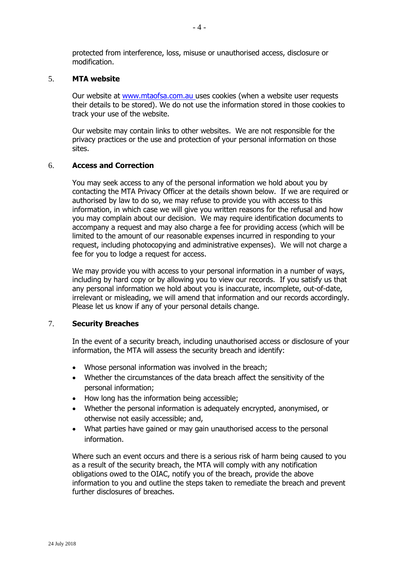protected from interference, loss, misuse or unauthorised access, disclosure or modification.

## 5. **MTA website**

Our website at [www.mtaofsa.com.au](http://www.mta-sa.asn.au/) uses cookies (when a website user requests their details to be stored). We do not use the information stored in those cookies to track your use of the website.

Our website may contain links to other websites. We are not responsible for the privacy practices or the use and protection of your personal information on those sites.

#### 6. **Access and Correction**

You may seek access to any of the personal information we hold about you by contacting the MTA Privacy Officer at the details shown below. If we are required or authorised by law to do so, we may refuse to provide you with access to this information, in which case we will give you written reasons for the refusal and how you may complain about our decision. We may require identification documents to accompany a request and may also charge a fee for providing access (which will be limited to the amount of our reasonable expenses incurred in responding to your request, including photocopying and administrative expenses). We will not charge a fee for you to lodge a request for access.

We may provide you with access to your personal information in a number of ways, including by hard copy or by allowing you to view our records. If you satisfy us that any personal information we hold about you is inaccurate, incomplete, out-of-date, irrelevant or misleading, we will amend that information and our records accordingly. Please let us know if any of your personal details change.

## 7. **Security Breaches**

In the event of a security breach, including unauthorised access or disclosure of your information, the MTA will assess the security breach and identify:

- Whose personal information was involved in the breach;
- Whether the circumstances of the data breach affect the sensitivity of the personal information;
- How long has the information being accessible;
- Whether the personal information is adequately encrypted, anonymised, or otherwise not easily accessible; and,
- What parties have gained or may gain unauthorised access to the personal information.

Where such an event occurs and there is a serious risk of harm being caused to you as a result of the security breach, the MTA will comply with any notification obligations owed to the OIAC, notify you of the breach, provide the above information to you and outline the steps taken to remediate the breach and prevent further disclosures of breaches.